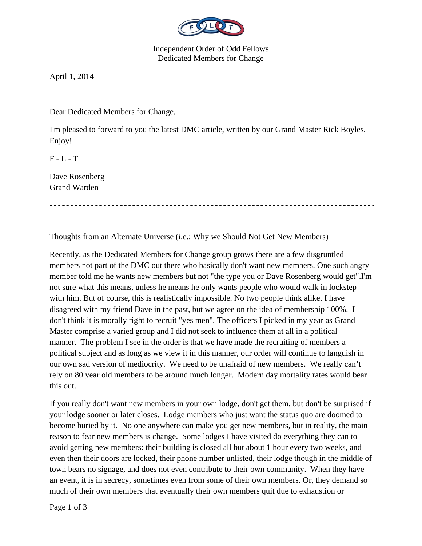

Independent Order of Odd Fellows Dedicated Members for Change

April 1, 2014

Dear Dedicated Members for Change,

I'm pleased to forward to you the latest DMC article, written by our Grand Master Rick Boyles. Enjoy!

 $F - L - T$ 

Dave Rosenberg Grand Warden

Thoughts from an Alternate Universe (i.e.: Why we Should Not Get New Members)

Recently, as the Dedicated Members for Change group grows there are a few disgruntled members not part of the DMC out there who basically don't want new members. One such angry member told me he wants new members but not "the type you or Dave Rosenberg would get".I'm not sure what this means, unless he means he only wants people who would walk in lockstep with him. But of course, this is realistically impossible. No two people think alike. I have disagreed with my friend Dave in the past, but we agree on the idea of membership 100%. I don't think it is morally right to recruit "yes men". The officers I picked in my year as Grand Master comprise a varied group and I did not seek to influence them at all in a political manner. The problem I see in the order is that we have made the recruiting of members a political subject and as long as we view it in this manner, our order will continue to languish in our own sad version of mediocrity. We need to be unafraid of new members. We really can't rely on 80 year old members to be around much longer. Modern day mortality rates would bear this out.

If you really don't want new members in your own lodge, don't get them, but don't be surprised if your lodge sooner or later closes. Lodge members who just want the status quo are doomed to become buried by it. No one anywhere can make you get new members, but in reality, the main reason to fear new members is change. Some lodges I have visited do everything they can to avoid getting new members: their building is closed all but about 1 hour every two weeks, and even then their doors are locked, their phone number unlisted, their lodge though in the middle of town bears no signage, and does not even contribute to their own community. When they have an event, it is in secrecy, sometimes even from some of their own members. Or, they demand so much of their own members that eventually their own members quit due to exhaustion or

Page 1 of 3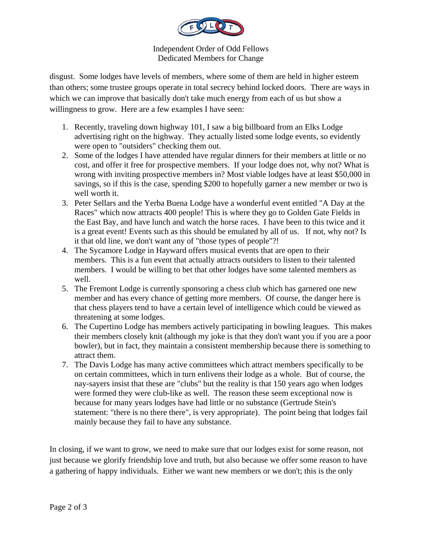

Independent Order of Odd Fellows Dedicated Members for Change

disgust. Some lodges have levels of members, where some of them are held in higher esteem than others; some trustee groups operate in total secrecy behind locked doors. There are ways in which we can improve that basically don't take much energy from each of us but show a willingness to grow. Here are a few examples I have seen:

- 1. Recently, traveling down highway 101, I saw a big billboard from an Elks Lodge advertising right on the highway. They actually listed some lodge events, so evidently were open to "outsiders" checking them out.
- 2. Some of the lodges I have attended have regular dinners for their members at little or no cost, and offer it free for prospective members. If your lodge does not, why not? What is wrong with inviting prospective members in? Most viable lodges have at least \$50,000 in savings, so if this is the case, spending \$200 to hopefully garner a new member or two is well worth it.
- 3. Peter Sellars and the Yerba Buena Lodge have a wonderful event entitled "A Day at the Races" which now attracts 400 people! This is where they go to Golden Gate Fields in the East Bay, and have lunch and watch the horse races. I have been to this twice and it is a great event! Events such as this should be emulated by all of us. If not, why not? Is it that old line, we don't want any of "those types of people"?!
- 4. The Sycamore Lodge in Hayward offers musical events that are open to their members. This is a fun event that actually attracts outsiders to listen to their talented members. I would be willing to bet that other lodges have some talented members as well.
- 5. The Fremont Lodge is currently sponsoring a chess club which has garnered one new member and has every chance of getting more members. Of course, the danger here is that chess players tend to have a certain level of intelligence which could be viewed as threatening at some lodges.
- 6. The Cupertino Lodge has members actively participating in bowling leagues. This makes their members closely knit (although my joke is that they don't want you if you are a poor bowler), but in fact, they maintain a consistent membership because there is something to attract them.
- 7. The Davis Lodge has many active committees which attract members specifically to be on certain committees, which in turn enlivens their lodge as a whole. But of course, the nay-sayers insist that these are "clubs" but the reality is that 150 years ago when lodges were formed they were club-like as well. The reason these seem exceptional now is because for many years lodges have had little or no substance (Gertrude Stein's statement: "there is no there there", is very appropriate). The point being that lodges fail mainly because they fail to have any substance.

In closing, if we want to grow, we need to make sure that our lodges exist for some reason, not just because we glorify friendship love and truth, but also because we offer some reason to have a gathering of happy individuals. Either we want new members or we don't; this is the only